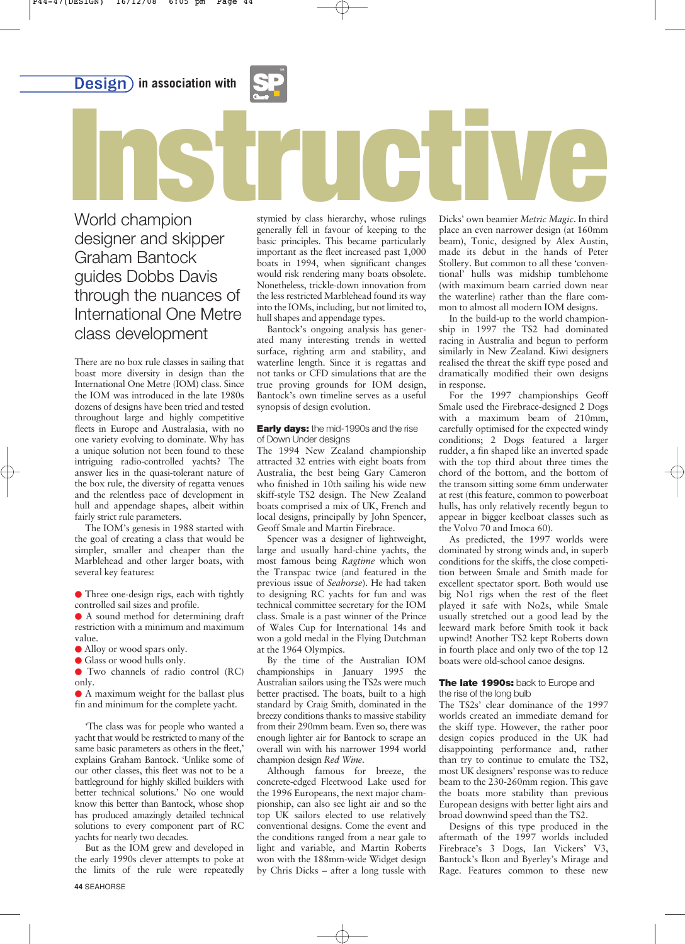**Design)** in association with



World champion designer and skipper Graham Bantock guides Dobbs Davis through the nuances of International One Metre class development World champion<br> **Instruction**<br>
Instruction Stymied by class hierarchy, whose rulings<br>
Dicks' own beamier Metric Magic. In third

There are no box rule classes in sailing that boast more diversity in design than the International One Metre (IOM) class. Since the IOM was introduced in the late 1980s dozens of designs have been tried and tested throughout large and highly competitive fleets in Europe and Australasia, with no one variety evolving to dominate. Why has a unique solution not been found to these intriguing radio-controlled yachts? The answer lies in the quasi-tolerant nature of the box rule, the diversity of regatta venues and the relentless pace of development in hull and appendage shapes, albeit within fairly strict rule parameters.

The IOM's genesis in 1988 started with the goal of creating a class that would be simpler, smaller and cheaper than the Marblehead and other larger boats, with several key features:

- Three one-design rigs, each with tightly controlled sail sizes and profile.

• A sound method for determining draft restriction with a minimum and maximum value.

- Alloy or wood spars only.

- Glass or wood hulls only.

- Two channels of radio control (RC) only.

• A maximum weight for the ballast plus fin and minimum for the complete yacht.

'The class was for people who wanted a yacht that would be restricted to many of the same basic parameters as others in the fleet,' explains Graham Bantock. 'Unlike some of our other classes, this fleet was not to be a battleground for highly skilled builders with better technical solutions.' No one would know this better than Bantock, whose shop has produced amazingly detailed technical solutions to every component part of RC yachts for nearly two decades.

But as the IOM grew and developed in the early 1990s clever attempts to poke at the limits of the rule were repeatedly

**44** SEAHORSE

stymied by class hierarchy, whose rulings generally fell in favour of keeping to the basic principles. This became particularly important as the fleet increased past 1,000 boats in 1994, when significant changes would risk rendering many boats obsolete. Nonetheless, trickle-down innovation from the less restricted Marblehead found its way into the IOMs, including, but not limited to, hull shapes and appendage types.

Bantock's ongoing analysis has generated many interesting trends in wetted surface, righting arm and stability, and waterline length. Since it is regattas and not tanks or CFD simulations that are the true proving grounds for IOM design, Bantock's own timeline serves as a useful synopsis of design evolution.

## **Early days:** the mid-1990s and the rise of Down Under designs

The 1994 New Zealand championship attracted 32 entries with eight boats from Australia, the best being Gary Cameron who finished in 10th sailing his wide new skiff-style TS2 design. The New Zealand boats comprised a mix of UK, French and local designs, principally by John Spencer, Geoff Smale and Martin Firebrace.

Spencer was a designer of lightweight, large and usually hard-chine yachts, the most famous being *Ragtime* which won the Transpac twice (and featured in the previous issue of *Seahorse*). He had taken to designing RC yachts for fun and was technical committee secretary for the IOM class. Smale is a past winner of the Prince of Wales Cup for International 14s and won a gold medal in the Flying Dutchman at the 1964 Olympics.

By the time of the Australian IOM championships in January 1995 the Australian sailors using the TS2s were much better practised. The boats, built to a high standard by Craig Smith, dominated in the breezy conditions thanks to massive stability from their 290mm beam. Even so, there was enough lighter air for Bantock to scrape an overall win with his narrower 1994 world champion design *Red Wine*.

Although famous for breeze, the concrete-edged Fleetwood Lake used for the 1996 Europeans, the next major championship, can also see light air and so the top UK sailors elected to use relatively conventional designs. Come the event and the conditions ranged from a near gale to light and variable, and Martin Roberts won with the 188mm-wide Widget design by Chris Dicks – after a long tussle with

Dicks' own beamier *Metric Magic*. In third place an even narrower design (at 160mm beam), Tonic, designed by Alex Austin, made its debut in the hands of Peter Stollery. But common to all these 'conventional' hulls was midship tumblehome (with maximum beam carried down near the waterline) rather than the flare common to almost all modern IOM designs.

In the build-up to the world championship in 1997 the TS2 had dominated racing in Australia and begun to perform similarly in New Zealand. Kiwi designers realised the threat the skiff type posed and dramatically modified their own designs in response.

For the 1997 championships Geoff Smale used the Firebrace-designed 2 Dogs with a maximum beam of 210mm, carefully optimised for the expected windy conditions; 2 Dogs featured a larger rudder, a fin shaped like an inverted spade with the top third about three times the chord of the bottom, and the bottom of the transom sitting some 6mm underwater at rest (this feature, common to powerboat hulls, has only relatively recently begun to appear in bigger keelboat classes such as the Volvo 70 and Imoca 60).

As predicted, the 1997 worlds were dominated by strong winds and, in superb conditions for the skiffs, the close competition between Smale and Smith made for excellent spectator sport. Both would use big No1 rigs when the rest of the fleet played it safe with No2s, while Smale usually stretched out a good lead by the leeward mark before Smith took it back upwind! Another TS2 kept Roberts down in fourth place and only two of the top 12 boats were old-school canoe designs.

## **The late 1990s:** back to Europe and the rise of the long bulb

The TS2s' clear dominance of the 1997 worlds created an immediate demand for the skiff type. However, the rather poor design copies produced in the UK had disappointing performance and, rather than try to continue to emulate the TS2, most UK designers' response was to reduce beam to the 230-260mm region. This gave the boats more stability than previous European designs with better light airs and broad downwind speed than the TS2.

Designs of this type produced in the aftermath of the 1997 worlds included Firebrace's 3 Dogs, Ian Vickers' V3, Bantock's Ikon and Byerley's Mirage and Rage. Features common to these new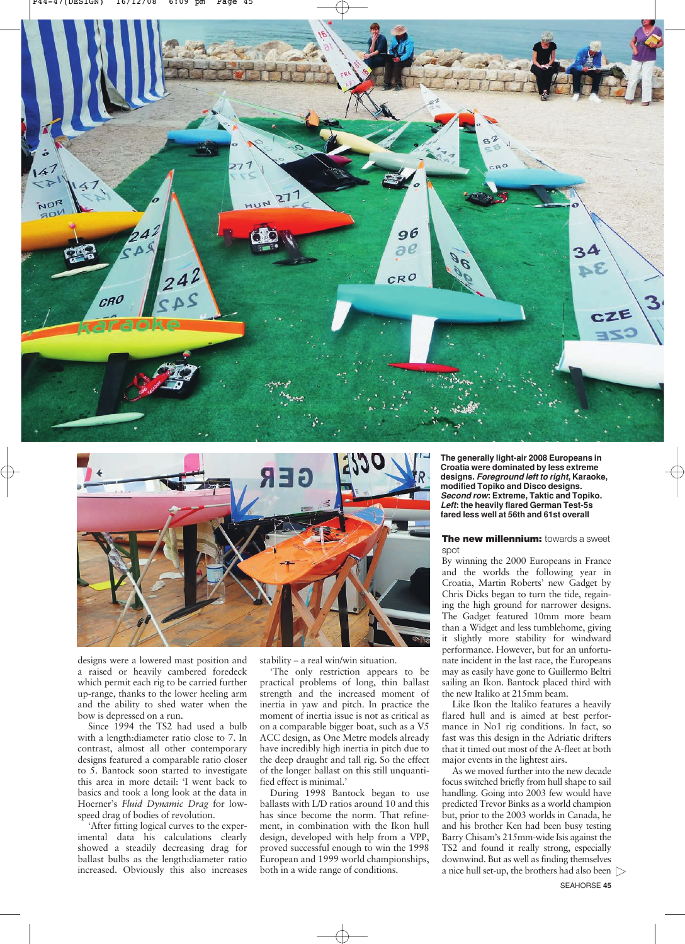



designs were a lowered mast position and a raised or heavily cambered foredeck which permit each rig to be carried further up-range, thanks to the lower heeling arm and the ability to shed water when the bow is depressed on a run.

Since 1994 the TS2 had used a bulb with a length:diameter ratio close to 7. In contrast, almost all other contemporary designs featured a comparable ratio closer to 5. Bantock soon started to investigate this area in more detail: 'I went back to basics and took a long look at the data in Hoerner's *Fluid Dynamic Drag* for lowspeed drag of bodies of revolution.

'After fitting logical curves to the experimental data his calculations clearly showed a steadily decreasing drag for ballast bulbs as the length:diameter ratio increased. Obviously this also increases stability – a real win/win situation.

'The only restriction appears to be practical problems of long, thin ballast strength and the increased moment of inertia in yaw and pitch. In practice the moment of inertia issue is not as critical as on a comparable bigger boat, such as a V5 ACC design, as One Metre models already have incredibly high inertia in pitch due to the deep draught and tall rig. So the effect of the longer ballast on this still unquantified effect is minimal.'

During 1998 Bantock began to use ballasts with L/D ratios around 10 and this has since become the norm. That refinement, in combination with the Ikon hull design, developed with help from a VPP, proved successful enough to win the 1998 European and 1999 world championships, both in a wide range of conditions.

**The generally light-air 2008 Europeans in Croatia were dominated by less extreme designs.** *Foreground left to right***, Karaoke, modified Topiko and Disco designs.**  *Second row***: Extreme, Taktic and Topiko.** *Left***: the heavily flared German Test-5s fared less well at 56th and 61st overall**

## **The new millennium: towards a sweet** spot

By winning the 2000 Europeans in France and the worlds the following year in Croatia, Martin Roberts' new Gadget by Chris Dicks began to turn the tide, regaining the high ground for narrower designs. The Gadget featured 10mm more beam than a Widget and less tumblehome, giving it slightly more stability for windward performance. However, but for an unfortunate incident in the last race, the Europeans may as easily have gone to Guillermo Beltri sailing an Ikon. Bantock placed third with the new Italiko at 215mm beam.

Like Ikon the Italiko features a heavily flared hull and is aimed at best performance in No1 rig conditions. In fact, so fast was this design in the Adriatic drifters that it timed out most of the A-fleet at both major events in the lightest airs.

As we moved further into the new decade focus switched briefly from hull shape to sail handling. Going into 2003 few would have predicted Trevor Binks as a world champion but, prior to the 2003 worlds in Canada, he and his brother Ken had been busy testing Barry Chisam's 215mm-wide Isis against the TS2 and found it really strong, especially downwind. But as well as finding themselves a nice hull set-up, the brothers had also been  $\triangleright$ 

SEAHORSE **45**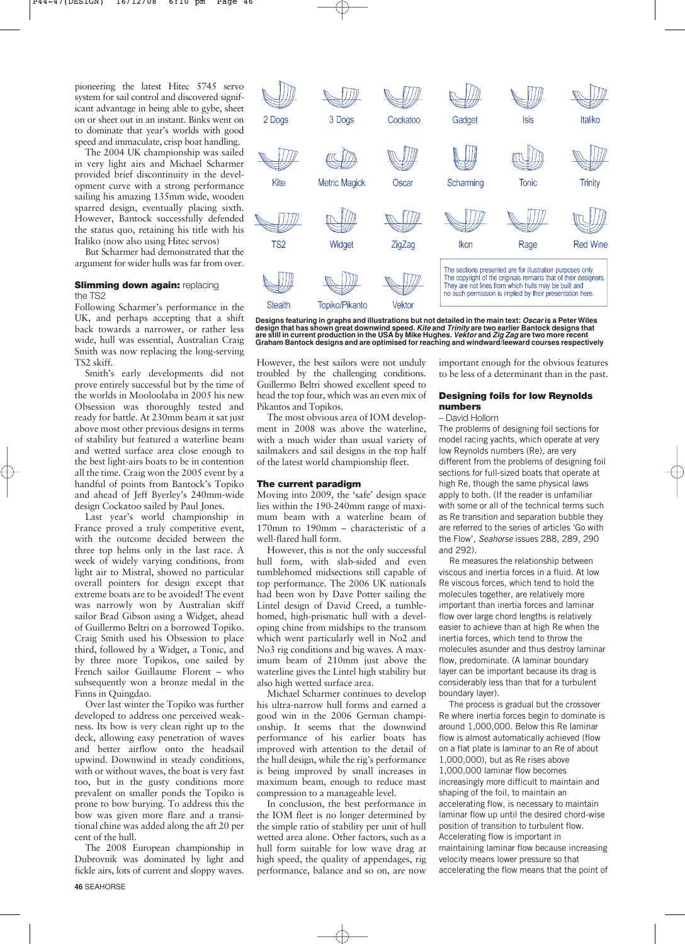pioneering the latest Hitec 5745 servo system for sail control and discovered significant advantage in being able to gybe, sheet on or sheet out in an instant. Binks went on to dominate that year's worlds with good speed and immaculate, crisp boat handling.

The 2004 UK championship was sailed in very light airs and Michael Scharmer provided brief discontinuity in the development curve with a strong performance sailing his amazing 135mm wide, wooden sparred design, eventually placing sixth. However, Bantock successfully defended the status quo, retaining his title with his Italiko (now also using Hitec servos)

But Scharmer had demonstrated that the argument for wider hulls was far from over.

# **Slimming down again: replacing** the TS2

Following Scharmer's performance in the UK, and perhaps accepting that a shift back towards a narrower, or rather less wide, hull was essential, Australian Craig Smith was now replacing the long-serving TS2 skiff.

Smith's early developments did not prove entirely successful but by the time of the worlds in Mooloolaba in 2005 his new Obsession was thoroughly tested and ready for battle. At 230mm beam it sat just above most other previous designs in terms of stability but featured a waterline beam and wetted surface area close enough to the best light-airs boats to be in contention all the time. Craig won the 2005 event by a handful of points from Bantock's Topiko and ahead of Jeff Byerley's 240mm-wide design Cockatoo sailed by Paul Jones.

Last year's world championship in France proved a truly competitive event, with the outcome decided between the three top helms only in the last race. A week of widely varying conditions, from light air to Mistral, showed no particular overall pointers for design except that extreme boats are to be avoided! The event was narrowly won by Australian skiff sailor Brad Gibson using a Widget, ahead of Guillermo Beltri on a borrowed Topiko. Craig Smith used his Obsession to place third, followed by a Widget, a Tonic, and by three more Topikos, one sailed by French sailor Guillaume Florent – who subsequently won a bronze medal in the Finns in Quingdao.

Over last winter the Topiko was further developed to address one perceived weakness. Its bow is very clean right up to the deck, allowing easy penetration of waves and better airflow onto the headsail upwind. Downwind in steady conditions, with or without waves, the boat is very fast too, but in the gusty conditions more prevalent on smaller ponds the Topiko is prone to bow burying. To address this the bow was given more flare and a transitional chine was added along the aft 20 per cent of the hull.

The 2008 European championship in Dubrovnik was dominated by light and fickle airs, lots of current and sloppy waves. **46** SEAHORSE



Designs featuring in graphs and illustrations but not detailed in the main text: *Oscar* is a Peter Wiles<br>design that has shown great downwind speed. *Kite* and *Trinity* are two earlier Bantock designs that are still in current production in the USA by Mike Hughes. *Vektor* and *Zig Zag* are two more recent<br>Graham Bantock designs and are optimised for reaching and windward/leeward courses respectively

However, the best sailors were not unduly troubled by the challenging conditions. Guillermo Beltri showed excellent speed to head the top four, which was an even mix of Pikantos and Topikos.

The most obvious area of IOM development in 2008 was above the waterline, with a much wider than usual variety of sailmakers and sail designs in the top half of the latest world championship fleet.

### **The current paradigm**

Moving into 2009, the 'safe' design space lies within the 190-240mm range of maximum beam with a waterline beam of 170mm to 190mm – characteristic of a well-flared hull form.

However, this is not the only successful hull form, with slab-sided and even tumblehomed midsections still capable of top performance. The 2006 UK nationals had been won by Dave Potter sailing the Lintel design of David Creed, a tumblehomed, high-prismatic hull with a developing chine from midships to the transom which went particularly well in No2 and No3 rig conditions and big waves. A maximum beam of 210mm just above the waterline gives the Lintel high stability but also high wetted surface area.

Michael Scharmer continues to develop his ultra-narrow hull forms and earned a good win in the 2006 German championship. It seems that the downwind performance of his earlier boats has improved with attention to the detail of the hull design, while the rig's performance is being improved by small increases in maximum beam, enough to reduce mast compression to a manageable level.

In conclusion, the best performance in the IOM fleet is no longer determined by the simple ratio of stability per unit of hull wetted area alone. Other factors, such as a hull form suitable for low wave drag at high speed, the quality of appendages, rig performance, balance and so on, are now

important enough for the obvious features to be less of a determinant than in the past.

### **Designing foils for low Reynolds numbers**

#### – David Hollom

The problems of designing foil sections for model racing yachts, which operate at very low Reynolds numbers (Re), are very different from the problems of designing foil sections for full-sized boats that operate at high Re, though the same physical laws apply to both. (If the reader is unfamiliar with some or all of the technical terms such as Re transition and separation bubble they are referred to the series of articles 'Go with the Flow', *Seahorse* issues 288, 289, 290 and 292).

Re measures the relationship between viscous and inertia forces in a fluid. At low Re viscous forces, which tend to hold the molecules together, are relatively more important than inertia forces and laminar flow over large chord lengths is relatively easier to achieve than at high Re when the inertia forces, which tend to throw the molecules asunder and thus destroy laminar flow, predominate. (A laminar boundary layer can be important because its drag is considerably less than that for a turbulent boundary layer).

The process is gradual but the crossover Re where inertia forces begin to dominate is around 1,000,000. Below this Re laminar flow is almost automatically achieved (flow on a flat plate is laminar to an Re of about 1,000,000), but as Re rises above 1,000,000 laminar flow becomes increasingly more difficult to maintain and shaping of the foil, to maintain an accelerating flow, is necessary to maintain laminar flow up until the desired chord-wise position of transition to turbulent flow. Accelerating flow is important in maintaining laminar flow because increasing velocity means lower pressure so that accelerating the flow means that the point of